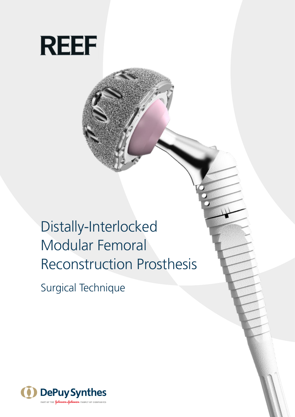

Distally-Interlocked Modular Femoral Reconstruction Prosthesis

Surgical Technique

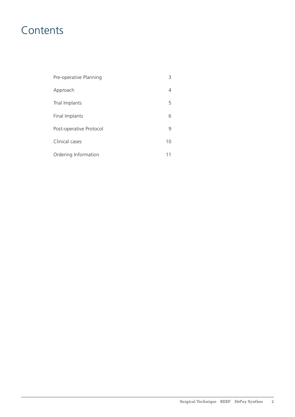# **Contents**

| Pre-operative Planning  |    |
|-------------------------|----|
| Approach                | 4  |
| Trial Implants          | 5  |
| Final Implants          | 6  |
| Post-operative Protocol | 9  |
| Clinical cases          | 10 |
| Ordering Information    | 11 |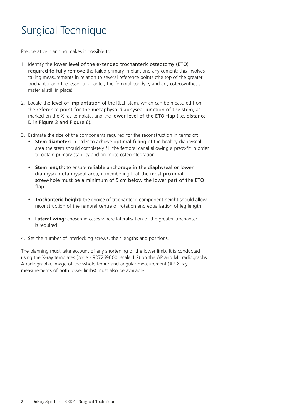# Surgical Technique

Preoperative planning makes it possible to:

- 1. Identify the lower level of the extended trochanteric osteotomy (ETO) required to fully remove the failed primary implant and any cement; this involves taking measurements in relation to several reference points (the top of the greater trochanter and the lesser trochanter, the femoral condyle, and any osteosynthesis material still in place).
- 2. Locate the level of implantation of the REEF stem, which can be measured from the reference point for the metaphyso-diaphyseal junction of the stem, as marked on the X-ray template, and the lower level of the ETO flap (i.e. distance D in Figure 3 and Figure 6).
- 3. Estimate the size of the components required for the reconstruction in terms of:
	- **• Stem diameter:** in order to achieve optimal filling of the healthy diaphyseal area the stem should completely fill the femoral canal allowing a press-fit in order to obtain primary stability and promote osteointegration.
	- **• Stem length:** to ensure reliable anchorage in the diaphyseal or lower diaphyso-metaphyseal area, remembering that the most proximal screw-hole must be a minimum of 5 cm below the lower part of the ETO flap.
	- **• Trochanteric height:** the choice of trochanteric component height should allow reconstruction of the femoral centre of rotation and equalisation of leg length.
	- **• Lateral wing:** chosen in cases where lateralisation of the greater trochanter is required.
- 4. Set the number of interlocking screws, their lengths and positions.

The planning must take account of any shortening of the lower limb. It is conducted using the X-ray templates (code - 907269000; scale 1.2) on the AP and ML radiographs. A radiographic image of the whole femur and angular measurement (AP X-ray measurements of both lower limbs) must also be available.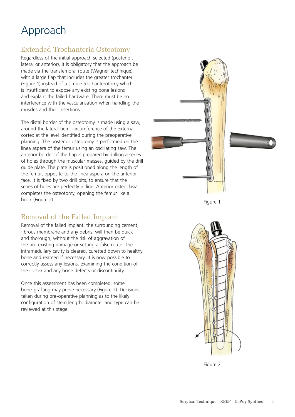# Approach

## Extended Trochanteric Osteotomy

Regardless of the initial approach selected (posterior, lateral or anterior), it is obligatory that the approach be made via the transfemoral route (Wagner technique), with a large flap that includes the greater trochanter (Figure 1) instead of a simple trochanterotomy which is insufficient to expose any existing bone lesions and explant the failed hardware. There must be no interference with the vascularisation when handling the muscles and their insertions.

The distal border of the osteotomy is made using a saw, around the lateral hemi-circumference of the external cortex at the level identified during the preoperative planning. The posterior osteotomy is performed on the linea aspera of the femur using an oscillating saw. The anterior border of the flap is prepared by drilling a series of holes through the muscular masses, guided by the drill guide plate. The plate is positioned along the length of the femur, opposite to the linea aspera on the anterior face. It is fixed by two drill bits, to ensure that the series of holes are perfectly in line. Anterior osteoclasia completes the osteotomy, opening the femur like a book (Figure 2).

# Removal of the Failed Implant

Removal of the failed implant, the surrounding cement, fibrous membrane and any debris, will then be quick and thorough, without the risk of aggravation of the pre-existing damage or setting a false route. The intramedullary cavity is cleared, curetted down to healthy bone and reamed if necessary. It is now possible to correctly assess any lesions, examining the condition of the cortex and any bone defects or discontinuity.

Once this assessment has been completed, some bone-grafting may prove necessary (Figure 2). Decisions taken during pre-operative planning as to the likely configuration of stem length, diameter and type can be reviewed at this stage.







Figure 2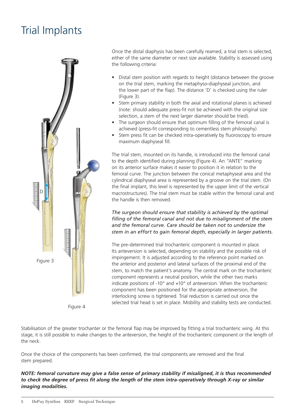# Trial Implants



Figure 4

Once the distal diaphysis has been carefully reamed, a trial stem is selected, either of the same diameter or next size available. Stability is assessed using the following criteria:

- Distal stem position with regards to height (distance between the groove on the trial stem, marking the metaphyso-diaphyseal junction, and the lower part of the flap). The distance 'D' is checked using the ruler (Figure 3).
- Stem primary stability in both the axial and rotational planes is achieved (note: should adequate press-fit not be achieved with the original size selection, a stem of the next larger diameter should be tried).
- The surgeon should ensure that optimum filling of the femoral canal is achieved (press-fit corresponding to cementless stem philosophy)
- Stem press fit can be checked intra-operatively by fluoroscopy to ensure maximum diaphyseal fill.

The trial stem, mounted on its handle, is introduced into the femoral canal to the depth identified during planning (Figure 4). An "ANTE" marking on its anterior surface makes it easier to position it in relation to the femoral curve. The junction between the conical metaphyseal area and the cylindrical diaphyseal area is represented by a groove on the trial stem. (On the final implant, this level is represented by the upper limit of the vertical macrostructures). The trial stem must be stable within the femoral canal and the handle is then removed.

*The surgeon should ensure that stability is achieved by the optimal filling of the femoral canal and not due to misalignment of the stem and the femoral curve. Care should be taken not to undersize the stem in an effort to gain femoral depth, especially in larger patients.*

The pre-determined trial trochanteric component is mounted in place. Its anteversion is selected, depending on stability and the possible risk of impingement. It is adjusted according to the reference point marked on the anterior and posterior and lateral surfaces of the proximal end of the stem, to match the patient's anatomy. The central mark on the trochanteric component represents a neutral position, while the other two marks indicate positions of -10° and +10° of anteversion. When the trochanteric component has been positioned for the appropriate anteversion, the interlocking screw is tightened. Trial reduction is carried out once the selected trial head is set in place. Mobility and stability tests are conducted.

Stabilisation of the greater trochanter or the femoral flap may be improved by fitting a trial trochanteric wing. At this stage, it is still possible to make changes to the anteversion, the height of the trochanteric component or the length of the neck.

Once the choice of the components has been confirmed, the trial components are removed and the final stem prepared.

*NOTE: femoral curvature may give a false sense of primary stability if misaligned, it is thus recommended to check the degree of press fit along the length of the stem intra-operatively through X-ray or similar imaging modalities.*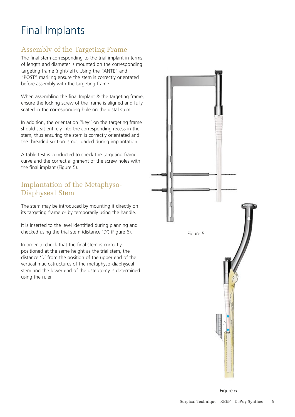# Final Implants

### Assembly of the Targeting Frame

The final stem corresponding to the trial implant in terms of length and diameter is mounted on the corresponding targeting frame (right/left). Using the "ANTE" and "POST" marking ensure the stem is correctly orientated before assembly with the targeting frame.

When assembling the final Implant & the targeting frame, ensure the locking screw of the frame is aligned and fully seated in the corresponding hole on the distal stem.

In addition, the orientation ''key'' on the targeting frame should seat entirely into the corresponding recess in the stem, thus ensuring the stem is correctly orientated and the threaded section is not loaded during implantation.

A table test is conducted to check the targeting frame curve and the correct alignment of the screw holes with the final implant (Figure 5).

### Implantation of the Metaphyso-Diaphyseal Stem

The stem may be introduced by mounting it directly on its targeting frame or by temporarily using the handle.

It is inserted to the level identified during planning and checked using the trial stem (distance 'D') (Figure 6).

In order to check that the final stem is correctly positioned at the same height as the trial stem, the distance 'D' from the position of the upper end of the vertical macrostructures of the metaphyso-diaphyseal stem and the lower end of the osteotomy is determined using the ruler.



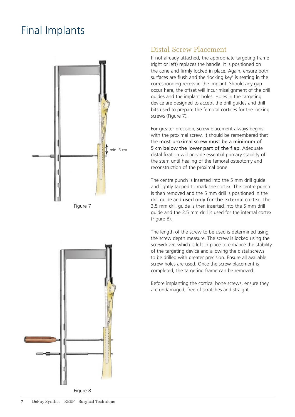# Final Implants







# Distal Screw Placement

If not already attached, the appropriate targeting frame (right or left) replaces the handle. It is positioned on the cone and firmly locked in place. Again, ensure both surfaces are flush and the 'locking key' is seating in the corresponding recess in the implant. Should any gap occur here, the offset will incur misalignment of the drill guides and the implant holes. Holes in the targeting device are designed to accept the drill guides and drill bits used to prepare the femoral cortices for the locking screws (Figure 7).

For greater precision, screw placement always begins with the proximal screw. It should be remembered that the most proximal screw must be a minimum of 5 cm below the lower part of the flap. Adequate distal fixation will provide essential primary stability of the stem until healing of the femoral osteotomy and reconstruction of the proximal bone.

The centre punch is inserted into the 5 mm drill guide and lightly tapped to mark the cortex. The centre punch is then removed and the 5 mm drill is positioned in the drill guide and used only for the external cortex. The 3.5 mm drill guide is then inserted into the 5 mm drill guide and the 3.5 mm drill is used for the internal cortex (Figure 8).

The length of the screw to be used is determined using the screw depth measure. The screw is locked using the screwdriver, which is left in place to enhance the stability of the targeting device and allowing the distal screws to be drilled with greater precision. Ensure all available screw holes are used. Once the screw placement is completed, the targeting frame can be removed.

Before implanting the cortical bone screws, ensure they are undamaged, free of scratches and straight.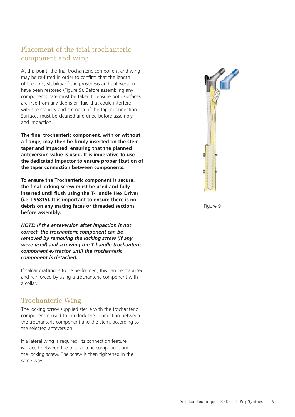# Placement of the trial trochanteric component and wing

At this point, the trial trochanteric component and wing may be re-fitted in order to confirm that the length of the limb, stability of the prosthesis and anteversion have been restored (Figure 9). Before assembling any components care must be taken to ensure both surfaces are free from any debris or fluid that could interfere with the stability and strength of the taper connection. Surfaces must be cleaned and dried before assembly and impaction.

**The final trochanteric component, with or without a flange, may then be firmly inserted on the stem taper and impacted, ensuring that the planned anteversion value is used. It is imperative to use the dedicated impactor to ensure proper fixation of the taper connection between components.**

**To ensure the Trochanteric component is secure, the final locking screw must be used and fully inserted until flush using the T-Handle Hex Driver (i.e. L95815). It is important to ensure there is no debris on any mating faces or threaded sections before assembly.** 

*NOTE: If the anteversion after impaction is not correct, the trochanteric component can be removed by removing the locking screw (if any were used) and screwing the T-handle trochanteric component extractor until the trochanteric component is detached.*

If calcar grafting is to be performed, this can be stabilised and reinforced by using a trochanteric component with a collar.

### Trochanteric Wing

The locking screw supplied sterile with the trochanteric component is used to interlock the connection between the trochanteric component and the stem, according to the selected anteversion.

If a lateral wing is required, its connection feature is placed between the trochanteric component and the locking screw. The screw is then tightened in the same way.



Figure 9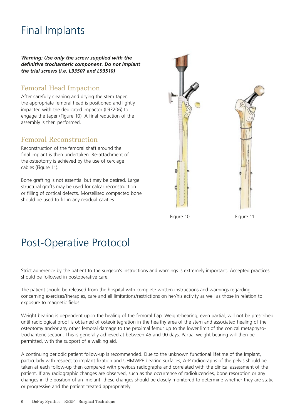# Final Implants

*Warning: Use only the screw supplied with the definitive trochanteric component. Do not implant the trial screws (i.e. L93507 and L93510)*

### Femoral Head Impaction

After carefully cleaning and drying the stem taper, the appropriate femoral head is positioned and lightly impacted with the dedicated impactor (L93206) to engage the taper (Figure 10). A final reduction of the assembly is then performed.

#### Femoral Reconstruction

Reconstruction of the femoral shaft around the final implant is then undertaken. Re-attachment of the osteotomy is achieved by the use of cerclage cables (Figure 11).

Bone grafting is not essential but may be desired. Large structural grafts may be used for calcar reconstruction or filling of cortical defects. Morsellised compacted bone should be used to fill in any residual cavities.



Figure 10 Figure 11

# Post-Operative Protocol

Strict adherence by the patient to the surgeon's instructions and warnings is extremely important. Accepted practices should be followed in postoperative care.

The patient should be released from the hospital with complete written instructions and warnings regarding concerning exercises/therapies, care and all limitations/restrictions on her/his activity as well as those in relation to exposure to magnetic fields.

Weight bearing is dependent upon the healing of the femoral flap. Weight-bearing, even partial, will not be prescribed until radiological proof is obtained of osteointegration in the healthy area of the stem and associated healing of the osteotomy and/or any other femoral damage to the proximal femur up to the lower limit of the conical metaphysotrochanteric section. This is generally achieved at between 45 and 90 days. Partial weight-bearing will then be permitted, with the support of a walking aid.

A continuing periodic patient follow-up is recommended. Due to the unknown functional lifetime of the implant, particularly with respect to implant fixation and UHMWPE bearing surfaces, A-P radiographs of the pelvis should be taken at each follow-up then compared with previous radiographs and correlated with the clinical assessment of the patient. If any radiographic changes are observed, such as the occurrence of radiolucencies, bone resorption or any changes in the position of an implant, these changes should be closely monitored to determine whether they are static or progressive and the patient treated appropriately.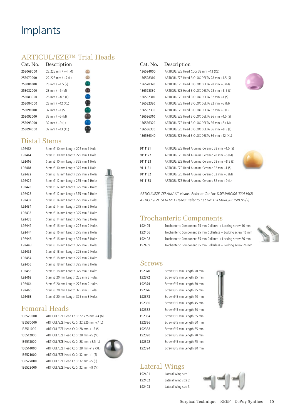# Implants

#### ARTICUL/EZE™ Trial Heads

| Cat. No.  | Description           |  |
|-----------|-----------------------|--|
| 253069000 | 22.225 mm / $+4$ (M)  |  |
| 253070000 | 22.225 mm $/ +7$ (L)  |  |
| 253081000 | 28 mm $/ +1.5$ (S)    |  |
| 253082000 | $28$ mm $/ + 5$ (M)   |  |
| 253083000 | 28 mm $/ +8.5$ (L)    |  |
| 253084000 | $28$ mm $/ + 12$ (XL) |  |
| 253091000 | 32 mm $/ +1$ (S)      |  |
| 253092000 | 32 mm $/ + 5$ (M)     |  |
| 253093000 | 32 mm $/ +9$ (L)      |  |
| 253094000 | 32 mm $/ + 13(XL)$    |  |
|           |                       |  |

### Distal Stems

| L92412 | Stem Ø 10 mm Length 225 mm 1 Hole  |
|--------|------------------------------------|
| L92414 | Stem Ø 10 mm Length 275 mm 1 Hole  |
| L92416 | Stem Ø 10 mm Length 325 mm 1 Hole  |
| L92418 | Stem Ø 10 mm Length 375 mm 1 Hole  |
| L92422 | Stem Ø 12 mm Length 225 mm 2 Holes |
| L92424 | Stem Ø 12 mm Length 275 mm 2 Holes |
| L92426 | Stem Ø 12 mm Length 325 mm 2 Holes |
| L92428 | Stem Ø 12 mm Length 375 mm 2 Holes |
| L92432 | Stem Ø 14 mm Length 225 mm 2 Holes |
| L92434 | Stem Ø 14 mm Length 275 mm 2 Holes |
| L92436 | Stem Ø 14 mm Length 325 mm 3 Holes |
| L92438 | Stem Ø 14 mm Length 375 mm 3 Holes |
| L92442 | Stem Ø 16 mm Length 225 mm 2 Holes |
| L92444 | Stem Ø 16 mm Length 275 mm 2 Holes |
| L92446 | Stem Ø 16 mm Length 325 mm 3 Holes |
| L92448 | Stem Ø 16 mm Length 375 mm 3 Holes |
| L92452 | Stem Ø 18 mm Length 225 mm 2 Holes |
| L92454 | Stem Ø 18 mm Length 275 mm 2 Holes |
| L92456 | Stem Ø 18 mm Length 325 mm 3 Holes |
| L92458 | Stem Ø 18 mm Length 375 mm 3 Holes |
| L92462 | Stem Ø 20 mm Length 225 mm 2 Holes |
| L92464 | Stem Ø 20 mm Length 275 mm 2 Holes |
| L92466 | Stem Ø 20 mm Length 325 mm 3 Holes |
| L92468 | Stem Ø 20 mm Length 375 mm 3 Holes |

### Femoral Heads

| 136529000 | ARTICUL/EZE Head CoCr 22.225 mm +4 (M) |
|-----------|----------------------------------------|
| 136530000 | ARTICUL/EZE Head CoCr 22.225 mm +7 (L) |
| 136511000 | ARTICUL/EZE Head CoCr 28 mm +1.5 (S)   |
| 136512000 | ARTICUL/EZE Head CoCr 28 mm +5 (M)     |
| 136513000 | ARTICUL/EZE Head CoCr 28 mm +8.5 (L)   |
| 136514000 | ARTICUL/EZE Head CoCr 28 mm +12 (XL)   |
| 136521000 | ARTICUL/EZE Head CoCr 32 mm +1 (S)     |
| 136522000 | ARTICUL/EZE Head CoCr 32 mm +5 (L)     |
| 136523000 | ARTICUL/EZE Head CoCr 32 mm +9 (M)     |

 $+7$  (L)



#### Cat. No. Description

| ARTICUL/EZE Head CoCr 32 mm +13 (XL)         |
|----------------------------------------------|
| ARTICUL/EZE Head BIOLOX DELTA 28 mm +1.5 (S) |
| ARTICUL/EZE Head BIOLOX DELTA 28 mm +5 (M)   |
| ARTICUL/EZE Head BIOLOX DELTA 28 mm +8.5 (L) |
| ARTICUL/EZE Head BIOLOX DELTA 32 mm +1 (S)   |
| ARTICUL/EZE Head BIOLOX DELTA 32 mm +5 (M)   |
| ARTICUL/EZE Head BIOLOX DELTA 32 mm +9 (L)   |
| ARTICUL/EZE Head BIOLOX DELTA 36 mm +1.5 (S) |
| ARTICUL/EZE Head BIOLOX DELTA 36 mm +5 (M)   |
| ARTICUL/EZE Head BIOLOX DELTA 36 mm +8.5 (L) |
| ARTICUL/EZE Head BIOLOX DELTA 36 mm +12 (XL) |
|                                              |

 ARTICUL/EZE Head Alumina Ceramic 28 mm +1.5 (S) ARTICUL/EZE Head Alumina Ceramic 28 mm +5 (M) ARTICUL/EZE Head Alumina Ceramic 28 mm +8.5 (L) ARTICUL/EZE Head Alumina Ceramic 32 mm +1 (S) ARTICUL/EZE Head Alumina Ceramic 32 mm +5 (M) ARTICUL/EZE Head Alumina Ceramic 32 mm +9 (L)



*ARTICUL/EZE CERAMAX™ Heads: Refer to Cat No: DSEM/JRC/0615/0319(2) ARTICUL/EZE ULTAMET Heads: Refer to Cat No: DSEM/JRC/0615/0319(2)*

#### Trochanteric Components

| L92405 | Trochanteric Component 25 mm Collared + Locking screw 16 mm   |  |
|--------|---------------------------------------------------------------|--|
| L92406 | Trochanteric Component 25 mm Collarless + Locking screw 16 mm |  |
| L92408 | Trochanteric Component 35 mm Collared + Locking screw 26 mm   |  |
| L92409 | Trochanteric Component 35 mm Collarless + Locking screw 26 mm |  |

#### **Screws**

| L92370 | Screw Ø 5 mm Length 20 mm |  |  |  |
|--------|---------------------------|--|--|--|
| L92372 | Screw Ø 5 mm Length 25 mm |  |  |  |
| L92374 | Screw Ø 5 mm Length 30 mm |  |  |  |
| L92376 | Screw Ø 5 mm Length 35 mm |  |  |  |
| L92378 | Screw Ø 5 mm Length 40 mm |  |  |  |
| L92380 | Screw Ø 5 mm Length 45 mm |  |  |  |
| L92382 | Screw Ø 5 mm Length 50 mm |  |  |  |
| L92384 | Screw Ø 5 mm Length 55 mm |  |  |  |
| L92386 | Screw Ø 5 mm Length 60 mm |  |  |  |
| L92388 | Screw Ø 5 mm Length 65 mm |  |  |  |
| L92390 | Screw Ø 5 mm Length 70 mm |  |  |  |
| L92392 | Screw Ø 5 mm Length 75 mm |  |  |  |
| L92394 | Screw Ø 5 mm Length 80 mm |  |  |  |
|        |                           |  |  |  |



### Lateral Wings

L92401 Lateral Wing size 1 L92402 Lateral Wing size 2 L92403 Lateral Wing size 3

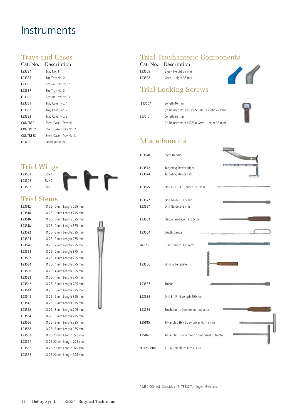# **Instruments**

#### Trays and Cases

| Cat. No. . | Description              |
|------------|--------------------------|
| L93384     | Tray No. 1               |
| L93385     | Top Tray No. 2           |
| L93386     | Bottom Tray No. 2        |
| L93387     | Top Tray No. 3           |
| L93388     | Bottom Tray No. 3        |
| L93381     | Tray Cover No. 1         |
| L93382     | Tray Cover No. 2         |
| L93383     | Tray Cover No. 3         |
| CONTREE1   | Steri. Case - Tray No. 1 |
| CONTREE2   | Steri. Case - Tray No. 2 |
| CONTRFF3   | Steri. Case - Tray No. 3 |
| L93206     | Head Impactor            |
|            |                          |

# Trial Wings

L93501 Size 1 L93502 Size 2 L93503 Size 3



#### Trial Stems

| L93512 | Ø 26-10 mm Length 225 mm |
|--------|--------------------------|
| L93514 | Ø 26-10 mm Length 275 mm |
| L93516 | Ø 26-10 mm Length 325 mm |
| L93518 | Ø 26-10 mm Length 375 mm |
| L93522 | Ø 26-12 mm Length 225 mm |
| L93524 | Ø 26-12 mm Length 275 mm |
| L93526 | Ø 26-12 mm Length 325 mm |
| L93528 | Ø 26-12 mm Length 375 mm |
| L93532 | Ø 26-14 mm Length 225 mm |
| L93534 | Ø 26-14 mm Length 275 mm |
| L93536 | Ø 26-14 mm Length 325 mm |
| L93538 | Ø 26-14 mm Length 375 mm |
| L93542 | Ø 26-16 mm Length 225 mm |
| L93544 | Ø 26-16 mm Length 275 mm |
| L93546 | Ø 26-16 mm Length 325 mm |
| L93548 | Ø 26-16 mm Length 375 mm |
| L93552 | Ø 26-18 mm Length 225 mm |
| L93554 | Ø 26-18 mm Length 275 mm |
| L93556 | Ø 26-18 mm Length 325 mm |
| L93558 | Ø 26-18 mm Length 375 mm |
| L93562 | Ø 26-20 mm Length 225 mm |
| L93564 | Ø 26-20 mm Length 275 mm |
| L93566 | Ø 26-20 mm Length 325 mm |
| L93568 | Ø 26-20 mm Length 375 mm |

### Trial Trochanteric Components

|        | Cat. No. Description |  |
|--------|----------------------|--|
| L93505 | Blue - Height 25 mm  |  |
| L93508 | Grey - Height 35 mm  |  |

### Trial Locking Screws

| L93507 | Length 16 mm                                 |
|--------|----------------------------------------------|
|        | (to be used with L93505 Blue - Height 25 mm) |
| 193510 | Length 26 mm                                 |
|        | (to be used with L93508 Grey - Height 35 mm) |

### Miscellaneous

| L93570    | Stem Handle                                |
|-----------|--------------------------------------------|
| L93572    | Targeting Device Right                     |
| L93574    | Targeting Device Left                      |
| L93575    | Drill Bit Fl. 3,5 Length 275 mm            |
| L93577    | Drill Guide Ø 3.5 mm                       |
| L93597    | Drill Guide Ø 5 mm                         |
| L93582    | Hex Screwdriver Fl. 3.5 mm                 |
| L93584    | Depth Gauge                                |
| 443730    | Ruler Length 300 mm*                       |
| L93586    | Drilling Template                          |
| L93587    | Trocar                                     |
| L93588    | Drill Bit Fl. 5 Length 190 mm              |
| L93589    | Trochanteric Component Impactor            |
| L95815    | T-Handled Hex Screwdriver Fl. 4.5 mm       |
| L95820    | T-Handled Trochanteric Component Extractor |
| 907269000 | X-Ray Templates (scale 1.2)                |

**SHARRING** 

\* MEDICON eG, Gänsäcker 15, 78532 Tuttlingen, Germany